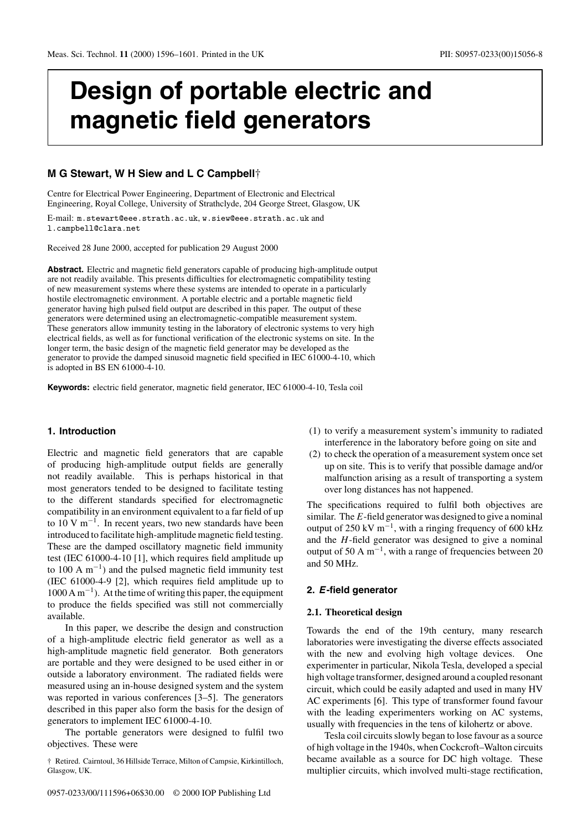# **Design of portable electric and magnetic field generators**

# **M G Stewart, W H Siew and L C Campbell**†

Centre for Electrical Power Engineering, Department of Electronic and Electrical Engineering, Royal College, University of Strathclyde, 204 George Street, Glasgow, UK

E-mail: m.stewart@eee.strath.ac.uk, w.siew@eee.strath.ac.uk and l.campbell@clara.net

Received 28 June 2000, accepted for publication 29 August 2000

**Abstract.** Electric and magnetic field generators capable of producing high-amplitude output are not readily available. This presents difficulties for electromagnetic compatibility testing of new measurement systems where these systems are intended to operate in a particularly hostile electromagnetic environment. A portable electric and a portable magnetic field generator having high pulsed field output are described in this paper. The output of these generators were determined using an electromagnetic-compatible measurement system. These generators allow immunity testing in the laboratory of electronic systems to very high electrical fields, as well as for functional verification of the electronic systems on site. In the longer term, the basic design of the magnetic field generator may be developed as the generator to provide the damped sinusoid magnetic field specified in IEC 61000-4-10, which is adopted in BS EN 61000-4-10.

**Keywords:** electric field generator, magnetic field generator, IEC 61000-4-10, Tesla coil

## **1. Introduction**

Electric and magnetic field generators that are capable of producing high-amplitude output fields are generally not readily available. This is perhaps historical in that most generators tended to be designed to facilitate testing to the different standards specified for electromagnetic compatibility in an environment equivalent to a far field of up to 10 V m<sup> $-1$ </sup>. In recent years, two new standards have been introduced to facilitate high-amplitude magnetic field testing. These are the damped oscillatory magnetic field immunity test (IEC 61000-4-10 [1], which requires field amplitude up to 100 A  $m^{-1}$ ) and the pulsed magnetic field immunity test (IEC 61000-4-9 [2], which requires field amplitude up to  $1000 \text{ A m}^{-1}$ ). At the time of writing this paper, the equipment to produce the fields specified was still not commercially available.

In this paper, we describe the design and construction of a high-amplitude electric field generator as well as a high-amplitude magnetic field generator. Both generators are portable and they were designed to be used either in or outside a laboratory environment. The radiated fields were measured using an in-house designed system and the system was reported in various conferences [3–5]. The generators described in this paper also form the basis for the design of generators to implement IEC 61000-4-10.

The portable generators were designed to fulfil two objectives. These were

† Retired. Cairntoul, 36 Hillside Terrace, Milton of Campsie, Kirkintilloch, Glasgow, UK.

0957-0233/00/111596+06\$30.00 © 2000 IOP Publishing Ltd

- (1) to verify a measurement system's immunity to radiated interference in the laboratory before going on site and
- (2) to check the operation of a measurement system once set up on site. This is to verify that possible damage and/or malfunction arising as a result of transporting a system over long distances has not happened.

The specifications required to fulfil both objectives are similar. The  $E$ -field generator was designed to give a nominal output of 250 kV m<sup>-1</sup>, with a ringing frequency of 600 kHz and the H-field generator was designed to give a nominal output of 50 A m−1, with a range of frequencies between 20 and 50 MHz.

## **2.** *E***-field generator**

## **2.1. Theoretical design**

Towards the end of the 19th century, many research laboratories were investigating the diverse effects associated with the new and evolving high voltage devices. One experimenter in particular, Nikola Tesla, developed a special high voltage transformer, designed around a coupled resonant circuit, which could be easily adapted and used in many HV AC experiments [6]. This type of transformer found favour with the leading experimenters working on AC systems, usually with frequencies in the tens of kilohertz or above.

Tesla coil circuits slowly began to lose favour as a source of high voltage in the 1940s, when Cockcroft–Walton circuits became available as a source for DC high voltage. These multiplier circuits, which involved multi-stage rectification,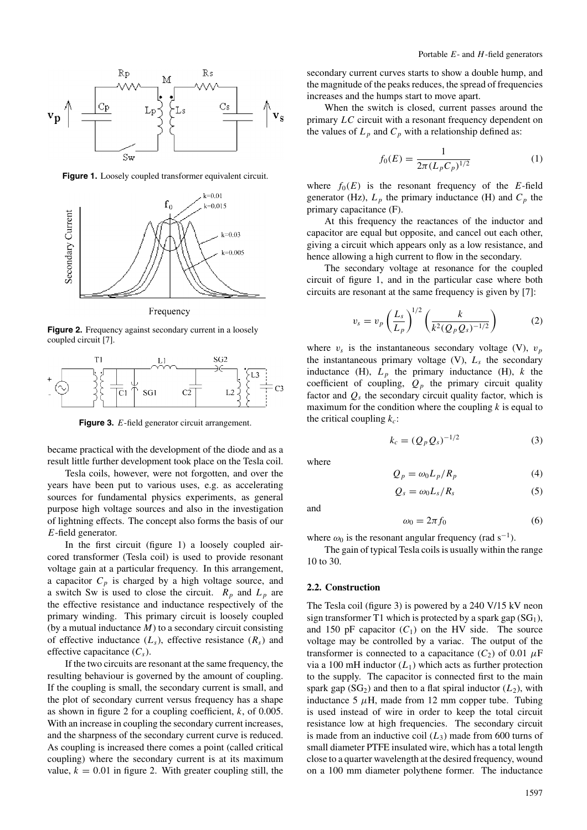

**Figure 1.** Loosely coupled transformer equivalent circuit.



Frequency

Figure 2. Frequency against secondary current in a loosely coupled circuit [7].



**Figure 3.** E-field generator circuit arrangement.

became practical with the development of the diode and as a result little further development took place on the Tesla coil.

Tesla coils, however, were not forgotten, and over the years have been put to various uses, e.g. as accelerating sources for fundamental physics experiments, as general purpose high voltage sources and also in the investigation of lightning effects. The concept also forms the basis of our E-field generator.

In the first circuit (figure 1) a loosely coupled aircored transformer (Tesla coil) is used to provide resonant voltage gain at a particular frequency. In this arrangement, a capacitor  $C_p$  is charged by a high voltage source, and a switch Sw is used to close the circuit.  $R_p$  and  $L_p$  are the effective resistance and inductance respectively of the primary winding. This primary circuit is loosely coupled (by a mutual inductance  $M$ ) to a secondary circuit consisting of effective inductance  $(L_s)$ , effective resistance  $(R_s)$  and effective capacitance  $(C_s)$ .

If the two circuits are resonant at the same frequency, the resulting behaviour is governed by the amount of coupling. If the coupling is small, the secondary current is small, and the plot of secondary current versus frequency has a shape as shown in figure 2 for a coupling coefficient,  $k$ , of 0.005. With an increase in coupling the secondary current increases, and the sharpness of the secondary current curve is reduced. As coupling is increased there comes a point (called critical coupling) where the secondary current is at its maximum value,  $k = 0.01$  in figure 2. With greater coupling still, the secondary current curves starts to show a double hump, and the magnitude of the peaks reduces, the spread of frequencies increases and the humps start to move apart.

When the switch is closed, current passes around the primary LC circuit with a resonant frequency dependent on the values of  $L_p$  and  $C_p$  with a relationship defined as:

$$
f_0(E) = \frac{1}{2\pi (L_p C_p)^{1/2}}\tag{1}
$$

where  $f_0(E)$  is the resonant frequency of the E-field generator (Hz),  $L_p$  the primary inductance (H) and  $C_p$  the primary capacitance (F).

At this frequency the reactances of the inductor and capacitor are equal but opposite, and cancel out each other, giving a circuit which appears only as a low resistance, and hence allowing a high current to flow in the secondary.

The secondary voltage at resonance for the coupled circuit of figure 1, and in the particular case where both circuits are resonant at the same frequency is given by [7]:

$$
v_s = v_p \left(\frac{L_s}{L_p}\right)^{1/2} \left(\frac{k}{k^2 (Q_p Q_s)^{-1/2}}\right)
$$
 (2)

where  $v_s$  is the instantaneous secondary voltage (V),  $v_p$ the instantaneous primary voltage  $(V)$ ,  $L<sub>s</sub>$  the secondary inductance (H),  $L_p$  the primary inductance (H), k the coefficient of coupling,  $Q_p$  the primary circuit quality factor and  $Q_s$  the secondary circuit quality factor, which is maximum for the condition where the coupling  $k$  is equal to the critical coupling  $k_c$ :

$$
k_c = (Q_p Q_s)^{-1/2}
$$
 (3)

where

$$
Q_p = \omega_0 L_p / R_p \tag{4}
$$

$$
Q_s = \omega_0 L_s / R_s \tag{5}
$$

and

$$
\omega_0 = 2\pi f_0 \tag{6}
$$

where  $\omega_0$  is the resonant angular frequency (rad s<sup>-1</sup>).

The gain of typical Tesla coils is usually within the range 10 to 30.

#### **2.2. Construction**

The Tesla coil (figure 3) is powered by a 240 V/15 kV neon sign transformer T1 which is protected by a spark gap  $(SG_1)$ , and 150 pF capacitor  $(C_1)$  on the HV side. The source voltage may be controlled by a variac. The output of the transformer is connected to a capacitance  $(C_2)$  of 0.01  $\mu$ F via a 100 mH inductor  $(L_1)$  which acts as further protection to the supply. The capacitor is connected first to the main spark gap  $(SG_2)$  and then to a flat spiral inductor  $(L_2)$ , with inductance 5  $\mu$ H, made from 12 mm copper tube. Tubing is used instead of wire in order to keep the total circuit resistance low at high frequencies. The secondary circuit is made from an inductive coil  $(L_3)$  made from 600 turns of small diameter PTFE insulated wire, which has a total length close to a quarter wavelength at the desired frequency, wound on a 100 mm diameter polythene former. The inductance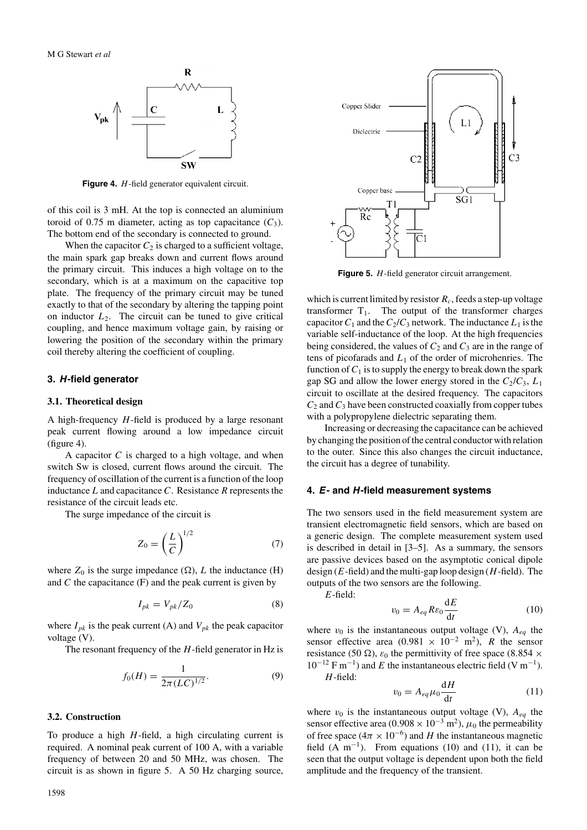

**Figure 4.** *H*-field generator equivalent circuit.

of this coil is 3 mH. At the top is connected an aluminium toroid of 0.75 m diameter, acting as top capacitance  $(C_3)$ . The bottom end of the secondary is connected to ground.

When the capacitor  $C_2$  is charged to a sufficient voltage, the main spark gap breaks down and current flows around the primary circuit. This induces a high voltage on to the secondary, which is at a maximum on the capacitive top plate. The frequency of the primary circuit may be tuned exactly to that of the secondary by altering the tapping point on inductor  $L_2$ . The circuit can be tuned to give critical coupling, and hence maximum voltage gain, by raising or lowering the position of the secondary within the primary coil thereby altering the coefficient of coupling.

#### **3.** *H***-field generator**

## **3.1. Theoretical design**

A high-frequency  $H$ -field is produced by a large resonant peak current flowing around a low impedance circuit (figure 4).

A capacitor  $C$  is charged to a high voltage, and when switch Sw is closed, current flows around the circuit. The frequency of oscillation of the current is a function of the loop inductance  $L$  and capacitance  $C$ . Resistance  $R$  represents the resistance of the circuit leads etc.

The surge impedance of the circuit is

$$
Z_0 = \left(\frac{L}{C}\right)^{1/2} \tag{7}
$$

where  $Z_0$  is the surge impedance  $(\Omega)$ , L the inductance (H) and  $C$  the capacitance  $(F)$  and the peak current is given by

$$
I_{pk} = V_{pk}/Z_0 \tag{8}
$$

where  $I_{pk}$  is the peak current (A) and  $V_{pk}$  the peak capacitor voltage (V).

The resonant frequency of the  $H$ -field generator in Hz is

$$
f_0(H) = \frac{1}{2\pi (LC)^{1/2}}.\tag{9}
$$

## **3.2. Construction**

To produce a high  $H$ -field, a high circulating current is required. A nominal peak current of 100 A, with a variable frequency of between 20 and 50 MHz, was chosen. The circuit is as shown in figure 5. A 50 Hz charging source,



Figure 5. H-field generator circuit arrangement.

which is current limited by resistor  $R_c$ , feeds a step-up voltage transformer  $T_1$ . The output of the transformer charges capacitor  $C_1$  and the  $C_2/C_3$  network. The inductance  $L_1$  is the variable self-inductance of the loop. At the high frequencies being considered, the values of  $C_2$  and  $C_3$  are in the range of tens of picofarads and  $L_1$  of the order of microhenries. The function of  $C_1$  is to supply the energy to break down the spark gap SG and allow the lower energy stored in the  $C_2/C_3$ ,  $L_1$ circuit to oscillate at the desired frequency. The capacitors  $C_2$  and  $C_3$  have been constructed coaxially from copper tubes with a polypropylene dielectric separating them.

Increasing or decreasing the capacitance can be achieved by changing the position of the central conductor with relation to the outer. Since this also changes the circuit inductance, the circuit has a degree of tunability.

## **4.** *E***- and** *H***-field measurement systems**

The two sensors used in the field measurement system are transient electromagnetic field sensors, which are based on a generic design. The complete measurement system used is described in detail in [3–5]. As a summary, the sensors are passive devices based on the asymptotic conical dipole design ( $E$ -field) and the multi-gap loop design ( $H$ -field). The outputs of the two sensors are the following.

E-field:

$$
v_0 = A_{eq} R \varepsilon_0 \frac{\mathrm{d}E}{\mathrm{d}t} \tag{10}
$$

where  $v_0$  is the instantaneous output voltage (V),  $A_{eq}$  the sensor effective area (0.981 × 10<sup>-2</sup> m<sup>2</sup>), R the sensor resistance (50  $\Omega$ ),  $\varepsilon_0$  the permittivity of free space (8.854  $\times$  $10^{-12}$  F m<sup>-1</sup>) and E the instantaneous electric field (V m<sup>-1</sup>).  $H$ -field:

$$
v_0 = A_{eq} \mu_0 \frac{\mathrm{d}H}{\mathrm{d}t} \tag{11}
$$

where  $v_0$  is the instantaneous output voltage (V),  $A_{eq}$  the sensor effective area (0.908 ×  $10^{-3}$  m<sup>2</sup>),  $\mu_0$  the permeability of free space ( $4\pi \times 10^{-6}$ ) and H the instantaneous magnetic field  $(A \text{ m}^{-1})$ . From equations (10) and (11), it can be seen that the output voltage is dependent upon both the field amplitude and the frequency of the transient.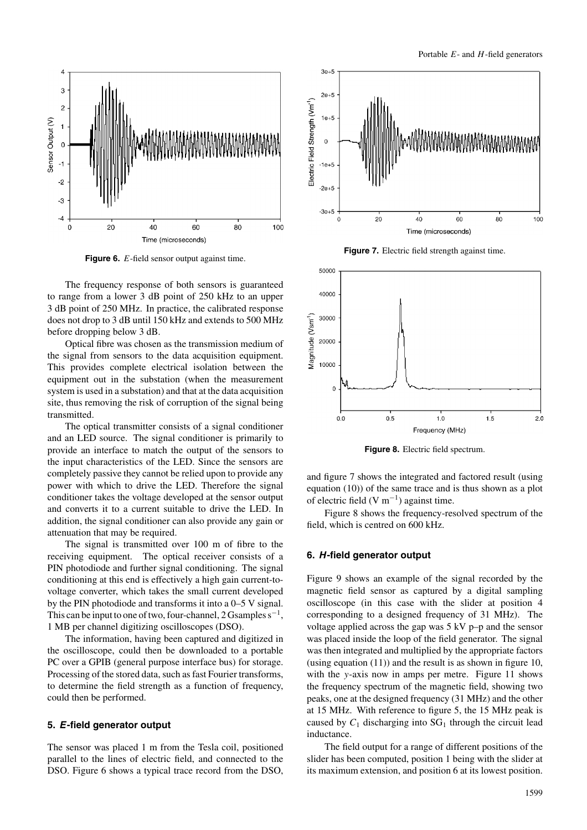

**Figure 6.** E-field sensor output against time.

The frequency response of both sensors is guaranteed to range from a lower 3 dB point of 250 kHz to an upper 3 dB point of 250 MHz. In practice, the calibrated response does not drop to 3 dB until 150 kHz and extends to 500 MHz before dropping below 3 dB.

Optical fibre was chosen as the transmission medium of the signal from sensors to the data acquisition equipment. This provides complete electrical isolation between the equipment out in the substation (when the measurement system is used in a substation) and that at the data acquisition site, thus removing the risk of corruption of the signal being transmitted.

The optical transmitter consists of a signal conditioner and an LED source. The signal conditioner is primarily to provide an interface to match the output of the sensors to the input characteristics of the LED. Since the sensors are completely passive they cannot be relied upon to provide any power with which to drive the LED. Therefore the signal conditioner takes the voltage developed at the sensor output and converts it to a current suitable to drive the LED. In addition, the signal conditioner can also provide any gain or attenuation that may be required.

The signal is transmitted over 100 m of fibre to the receiving equipment. The optical receiver consists of a PIN photodiode and further signal conditioning. The signal conditioning at this end is effectively a high gain current-tovoltage converter, which takes the small current developed by the PIN photodiode and transforms it into a 0–5 V signal. This can be input to one of two, four-channel, 2 Gsamples  $s^{-1}$ , 1 MB per channel digitizing oscilloscopes (DSO).

The information, having been captured and digitized in the oscilloscope, could then be downloaded to a portable PC over a GPIB (general purpose interface bus) for storage. Processing of the stored data, such as fast Fourier transforms, to determine the field strength as a function of frequency, could then be performed.

## **5.** *E***-field generator output**

The sensor was placed 1 m from the Tesla coil, positioned parallel to the lines of electric field, and connected to the DSO. Figure 6 shows a typical trace record from the DSO,



**Figure 7.** Electric field strength against time.



**Figure 8.** Electric field spectrum.

and figure 7 shows the integrated and factored result (using equation (10)) of the same trace and is thus shown as a plot of electric field (V m<sup>-1</sup>) against time.

Figure 8 shows the frequency-resolved spectrum of the field, which is centred on 600 kHz.

#### **6.** *H***-field generator output**

Figure 9 shows an example of the signal recorded by the magnetic field sensor as captured by a digital sampling oscilloscope (in this case with the slider at position 4 corresponding to a designed frequency of 31 MHz). The voltage applied across the gap was 5 kV p–p and the sensor was placed inside the loop of the field generator. The signal was then integrated and multiplied by the appropriate factors (using equation (11)) and the result is as shown in figure 10, with the y-axis now in amps per metre. Figure 11 shows the frequency spectrum of the magnetic field, showing two peaks, one at the designed frequency (31 MHz) and the other at 15 MHz. With reference to figure 5, the 15 MHz peak is caused by  $C_1$  discharging into  $SG_1$  through the circuit lead inductance.

The field output for a range of different positions of the slider has been computed, position 1 being with the slider at its maximum extension, and position 6 at its lowest position.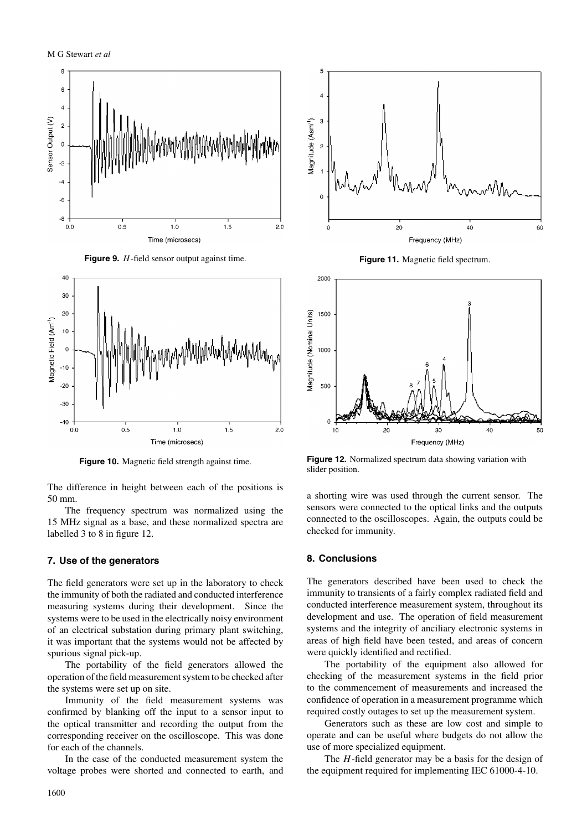





**Figure 10.** Magnetic field strength against time.

The difference in height between each of the positions is 50 mm.

The frequency spectrum was normalized using the 15 MHz signal as a base, and these normalized spectra are labelled 3 to 8 in figure 12.

## **7. Use of the generators**

The field generators were set up in the laboratory to check the immunity of both the radiated and conducted interference measuring systems during their development. Since the systems were to be used in the electrically noisy environment of an electrical substation during primary plant switching, it was important that the systems would not be affected by spurious signal pick-up.

The portability of the field generators allowed the operation of the field measurement system to be checked after the systems were set up on site.

Immunity of the field measurement systems was confirmed by blanking off the input to a sensor input to the optical transmitter and recording the output from the corresponding receiver on the oscilloscope. This was done for each of the channels.

In the case of the conducted measurement system the voltage probes were shorted and connected to earth, and



**Figure 11.** Magnetic field spectrum.



**Figure 12.** Normalized spectrum data showing variation with slider position.

a shorting wire was used through the current sensor. The sensors were connected to the optical links and the outputs connected to the oscilloscopes. Again, the outputs could be checked for immunity.

#### **8. Conclusions**

The generators described have been used to check the immunity to transients of a fairly complex radiated field and conducted interference measurement system, throughout its development and use. The operation of field measurement systems and the integrity of anciliary electronic systems in areas of high field have been tested, and areas of concern were quickly identified and rectified.

The portability of the equipment also allowed for checking of the measurement systems in the field prior to the commencement of measurements and increased the confidence of operation in a measurement programme which required costly outages to set up the measurement system.

Generators such as these are low cost and simple to operate and can be useful where budgets do not allow the use of more specialized equipment.

The  $H$ -field generator may be a basis for the design of the equipment required for implementing IEC 61000-4-10.